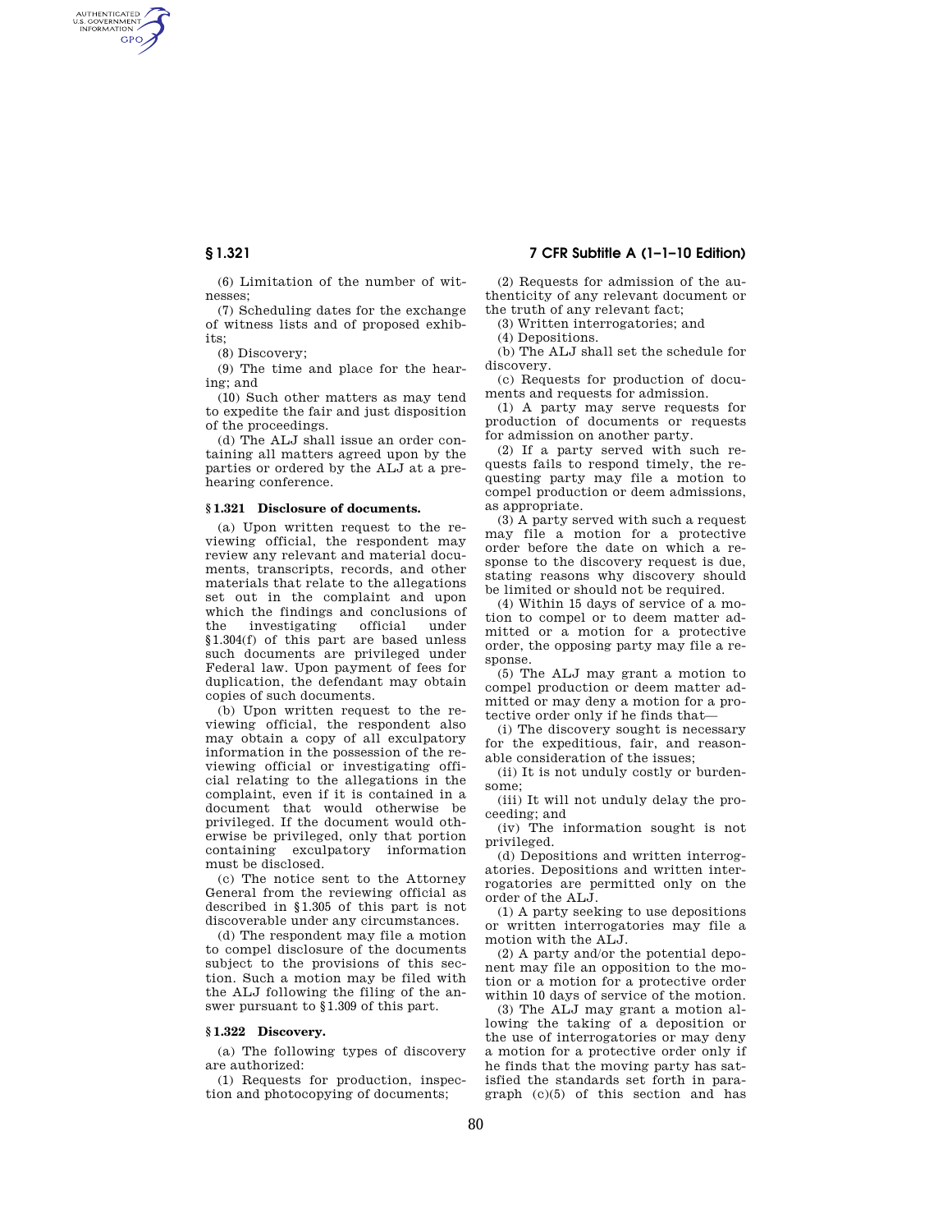AUTHENTICATED<br>U.S. GOVERNMENT<br>INFORMATION **GPO** 

> (6) Limitation of the number of witnesses;

(7) Scheduling dates for the exchange of witness lists and of proposed exhibits;

(8) Discovery;

(9) The time and place for the hearing; and

(10) Such other matters as may tend to expedite the fair and just disposition of the proceedings.

(d) The ALJ shall issue an order containing all matters agreed upon by the parties or ordered by the ALJ at a prehearing conference.

### **§ 1.321 Disclosure of documents.**

(a) Upon written request to the reviewing official, the respondent may review any relevant and material documents, transcripts, records, and other materials that relate to the allegations set out in the complaint and upon which the findings and conclusions of the investigating official under §1.304(f) of this part are based unless such documents are privileged under Federal law. Upon payment of fees for duplication, the defendant may obtain copies of such documents.

(b) Upon written request to the reviewing official, the respondent also may obtain a copy of all exculpatory information in the possession of the reviewing official or investigating official relating to the allegations in the complaint, even if it is contained in a document that would otherwise be privileged. If the document would otherwise be privileged, only that portion containing exculpatory information must be disclosed.

(c) The notice sent to the Attorney General from the reviewing official as described in §1.305 of this part is not discoverable under any circumstances.

(d) The respondent may file a motion to compel disclosure of the documents subject to the provisions of this section. Such a motion may be filed with the ALJ following the filing of the answer pursuant to §1.309 of this part.

# **§ 1.322 Discovery.**

(a) The following types of discovery are authorized:

(1) Requests for production, inspection and photocopying of documents;

**§ 1.321 7 CFR Subtitle A (1–1–10 Edition)** 

(2) Requests for admission of the authenticity of any relevant document or the truth of any relevant fact;

(3) Written interrogatories; and

(4) Depositions.

(b) The ALJ shall set the schedule for discovery.

(c) Requests for production of documents and requests for admission.

(1) A party may serve requests for production of documents or requests for admission on another party.

(2) If a party served with such requests fails to respond timely, the requesting party may file a motion to compel production or deem admissions, as appropriate.

(3) A party served with such a request may file a motion for a protective order before the date on which a response to the discovery request is due, stating reasons why discovery should be limited or should not be required.

(4) Within 15 days of service of a motion to compel or to deem matter admitted or a motion for a protective order, the opposing party may file a response.

(5) The ALJ may grant a motion to compel production or deem matter admitted or may deny a motion for a protective order only if he finds that—

(i) The discovery sought is necessary for the expeditious, fair, and reasonable consideration of the issues:

(ii) It is not unduly costly or burdensome;

(iii) It will not unduly delay the proceeding; and

(iv) The information sought is not privileged.

(d) Depositions and written interrogatories. Depositions and written interrogatories are permitted only on the order of the ALJ.

(1) A party seeking to use depositions or written interrogatories may file a motion with the ALJ.

(2) A party and/or the potential deponent may file an opposition to the motion or a motion for a protective order within 10 days of service of the motion.

(3) The ALJ may grant a motion allowing the taking of a deposition or the use of interrogatories or may deny a motion for a protective order only if he finds that the moving party has satisfied the standards set forth in paragraph (c)(5) of this section and has